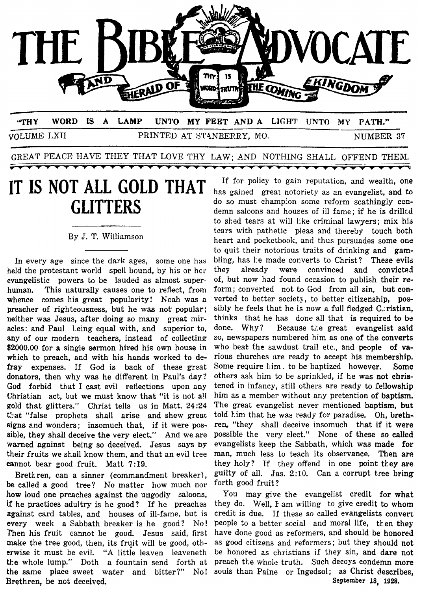

VOLUME LXII PRINTED AT STANBERRY, MO. NUMBER 37

 $\frac{1}{\sqrt{2}}\left( \frac{1}{\sqrt{2}}\right) =\frac{1}{\sqrt{2}}\left( \frac{1}{\sqrt{2}}\right) =\frac{1}{\sqrt{2}}\left( \frac{1}{\sqrt{2}}\right) =\frac{1}{\sqrt{2}}\left( \frac{1}{\sqrt{2}}\right) =\frac{1}{\sqrt{2}}\left( \frac{1}{\sqrt{2}}\right) =\frac{1}{\sqrt{2}}\left( \frac{1}{\sqrt{2}}\right) =\frac{1}{\sqrt{2}}\left( \frac{1}{\sqrt{2}}\right) =\frac{1}{\sqrt{2}}\left( \frac{1}{\sqrt{2}}\right) =\frac{1$ 

GREAT PEACE HAVE THEY THAT LOVE THY LAW; AND NOTHING SHALL OFFEND **THEM.** 

## **IT IS NOT ALL GOLD THAT GLITTERS**

#### By J. T. Williamson

In every age since the dark ages, some one has held the protestant world spell bound, by his or her evangelistic powers to be lauded as almost superhuman. This naturally causes one to reflect, from whence comes his great popularity! Noah was a preacher of righteousness, but he **was** not popular: heither was Jesus, after doing so many great miracles: and Paul Leing equal with, and superior to, any of our modern teachers, instead of collecting \$2000.00 for a single sermon hired his own house in which to preach, and with his hands worked to defray expenses. If God is back of these great donators, then why was he different in Paul's day? *God* forbid that I cast evil reflections upon any Christian act, but we must know that "it is not all gold that glitters." Christ tells us in Matt. **24:24**  that "false prophets shall arise and shew great" **signs** and wonders; insomuch that, if it were **pos**sible, they shall deceive the very elect." And we are warned against being so deceived. Jesus says **by**  their fruits we shall know them, and that an evil tree cannot bear good fruit. Matt **7:19.** 

Bretkren, can a sinner (commandment breaker), be called a good tree? No matter how much nor **how** loud one preaches against the ungodly saloons, if he practices adultry is he good? If he preaches against card tables, and houses of ill-fame, but is every week a Sabbath breaker is he good? No! Then his fruit cannot be good. Jesus said, first make the tree good, then, its fruit will be good, otherwise it must be evil. "A little leaven leaveneth tke whole lump." Doth a fountain send forth at the same place sweet water and bitter?" No! Brethren, be not deceived,

If for policy to gain reputation, and wealth, one has gained great notoriety as an evangelist, and to do so must champion some reform scathingly ccndemn saloons and houses of ill fame; if he is drillcd to shed tears at will like criminal lawyers; mix his tears with pathetic pleas and thereby touch both heart and pocketbook, and thus pursuades some one to quit their notorious traits of drinking and gambling, has he made converts to Christ? These evils they already were convinced and convicted of, but now had found occasion to publish their **re**form; converted not to God from all sin, but converted to better society, to better citizenship, possibly he feels that he is now a full fledged C, ristian, thinks that he has done all that is required to **be**  done. Why? Because the great evangelist said so, newspapers numbered him as one of the converts who beat the sawdust trail etc., and people **of** various churches are ready to accept his membership. Some require Lim. to be baptized however. **Some**  others ask him to be sprinkled, if he **was** not christened in infancy, still others are ready to fellowship him **as a** member without any pretention **of** baptism. The great evangelist never. mentioned baptism, **but**  told kim that he was ready for paradise. Oh, brethren, "they shall deceive insomuch that if it were possibIe the very elect." None of these so called evangelists keep the Sabbath, which was made **for**  man, much less to teach its observance. Then are they holy? If they offend in one point they are guilty of all. Jas. **2:10.** Can a corrupt tree bring forth good fruit?

You may give the evangelist credit for what they do. Well, I am willing to give credit to whom credit is due. If these so called evangelists convert people to a better social and moral life, then they have done good as reformers, and should be honored as good citizens and reformers; but they should not be honored as christians if they sin, and dare not preach the whole truth. Such decoys condemn more souls than Paine or Ingedsol; as Christ describes, **September 18, 1928.**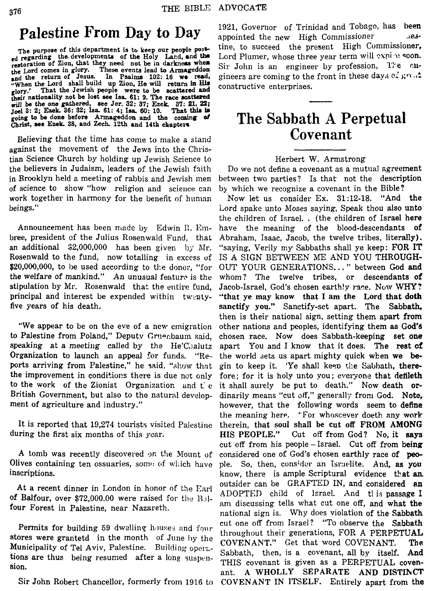## **Palestine From Day to Day**

**The purpose of this department is to keep our people post**   $_{ed}$  regarding the developments of the Holy Land, and the restoration of Zion, that they need not be in darkness when the Lord comes in glory. These events lead to Armageddon and the return of Jesus. In Psalms 102: 16 we read, and the return of Jesus. In Psalms 102: 16 we read, <br> **\*** When the Lord shall build up Zion, He will return in His **glory.' That the Jewish people were to be attared and their nationality not ba loat see Isa 61: 9. The rwe acatbred**  will be the one gathered, see Jer. 32: 37: Ezek. 37: 21. 22:<br>Joel 3: 2: Ezek. 36: 32; Isa. 61: 4; Isa. 60: 10. That this is<br>caing to be done before. Armageddon and the coming of **going** *to* **be done before Amgeddoa and the coming** *ef Christ, see Ezek.* 38, and Zech. 12th and 14th chapters

Believing that the time has come to make a stand against the movement of the Jews into the Christian Science Church by holding up Jewish Science to the believers in Judaism, leaders of the Jewish fiith in Brooklyn held a meeting of rabbis and Jewish inen of science to show "how religion and science can work together in harmony for the benefit of hunian beings."

Announcement has been made by Edwin R. Embree, president of the Julius Rosenwald Fund, that an additional **\$2,000,000** has been given by RIr. Rosenwald to the fund, now totalling in excess of \$20,000,000, to be used according to the donor, "for the welfare of mankind." An unusual feature is the stipulation by Mr. Rosenwald that the entire fund. principal and interest be expended within twentyfive years of his death.

"We appear to be on the eve of a new emigration to Palestine from Poland," Deputy Gruecbaum said, speaking at a meeting called by the He'Chalutz Organization to launch an appeal for funds. "Reports arriving from Palestine," he said, "show that the improvement in conditions there is due not only to the work of the Zionist Organizatior. and t: *e*  British Government, but also to the natural development of agriculture and industry.''

It is reported that 19,274 tourists visited Palestine during the first six months of this year.

A tomb was recently discovered on the Mount of Olives containing ten ossuaries, some of which have inscriptions.

At a recent dinner in London in honor of the Earl **of** Balfour, over **\$72,000.00** were raised for the 13.) 1 four Forest in Palestine, near Nazareth.

Permits for building 59 dwelling houses and four stores were grantetd in the month of June hy the Municipality of Tel Aviv, Palestine. Building operations are thus being resumed after a long suspension.

Sir John Robert Chancellor, formerly from **1916** to

**1921,** Governor of Trinidad and Tobago, has **been**  appointed the new High Commissioner. tine, to succeed the present High Commissioner, Lord Plumer, whose three year term will oxpire soon. Sir John is an engineer by profession, The cngineers are coming to the front in these day.; **~2 &;''I** *.tt*  constructive enterprises.

## **The Sabbath A Perpetual Covenant**

### Herbert W. Armstrong

Do we not define a covenant as a mutual agreement between two parties? Is that not the description by which we recognize a covenant in the Bible?

Now let us consider Ex. **31:12-18.** "And the Lord spake unto Moses saying, Speak thou also unto the children of Israel. . (the children of Israel **here**  have the meaning of the blood-descendants of Abraham, Isaac, Jacob, the twelve tribes, literally). "saying, Verily my Sabbaths shall ye keep: FOR IT OUT YOUR GENERATIONS.. . " between God and whom? The twelve tribes, or descendants **of**  Jacob-Israel, God's chosen earthly race. Now WHY? "that **ye may** know that **I am** the **Lord** that doth sanctify **you."** Sanctify-set apart. The Sabbath, then is their national sign, setting them apart **from**  other nations and peoples, identifying them **as God%**  chosen race. Now does Sabbath-keeping set **one**  apart You and I know that it does. The rest **cf**  the world sets us apart mighty quick when **we be**gin to keep it. 'Ye shall keep the Sabbath, therefore; for it is holy unto you; **cvciyone** that deffleth it shall surely be put to death." Now death **or**dinarily means "cut off," generally from God. Note, however, that the following words seem to define the meanjng here. "For whoscwer doeth any **work**  therein, that soul shall be **cut off FROM AMONG**  Cut off from God? No, it says cut off from his people  $-$ Israel. Cut off from being considered one of God's ehosen earthly race **of peo**ple. So, then, consider an Israelite. And, as you know, there is ample Scriptural evidence that an outsider can be GRAFTED IN, and considered **an**  ADOPTEn child of Israel. And tt **i:s** passage **I**  am discussing tells what cut one off, and what **the**  national sign is. Why does violation of the Sabbath cut one off from Israel? "To observe the **Sabbath**  throughout their generations, FOR **A** PERPETUAL **COVENANT."** Get that word COVENANT. **The**  Sabbath, then, is **a** covenant, all by itself. **And**  THIS covenant is given as **a** PERPETUAL covenant. **A WHOLLY SEPARATE AND DISTIhGT COVENANT IN ITSELF.** Entirely apart **from** the IS A SIGN BETWEEN ME AND YOU THROUGH-